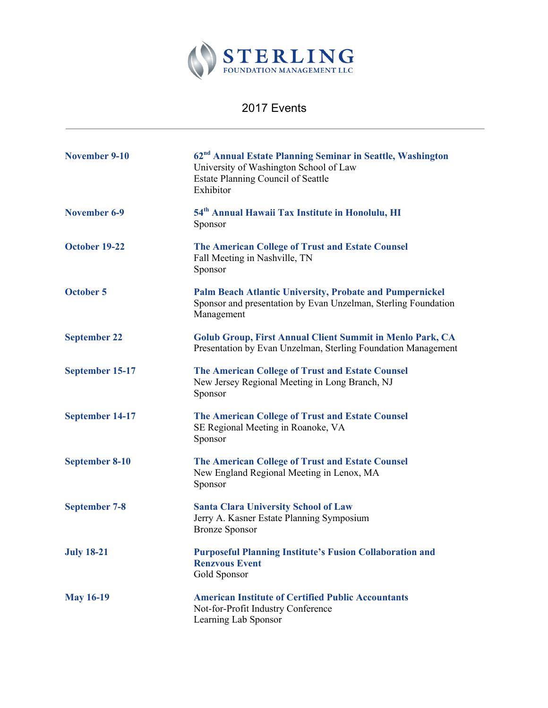

## 2017 Events

| <b>November 9-10</b> | 62 <sup>nd</sup> Annual Estate Planning Seminar in Seattle, Washington<br>University of Washington School of Law<br><b>Estate Planning Council of Seattle</b><br>Exhibitor |
|----------------------|----------------------------------------------------------------------------------------------------------------------------------------------------------------------------|
| <b>November 6-9</b>  | 54 <sup>th</sup> Annual Hawaii Tax Institute in Honolulu, HI<br>Sponsor                                                                                                    |
| October 19-22        | The American College of Trust and Estate Counsel<br>Fall Meeting in Nashville, TN<br>Sponsor                                                                               |
| <b>October 5</b>     | <b>Palm Beach Atlantic University, Probate and Pumpernickel</b><br>Sponsor and presentation by Evan Unzelman, Sterling Foundation<br>Management                            |
| <b>September 22</b>  | <b>Golub Group, First Annual Client Summit in Menlo Park, CA</b><br>Presentation by Evan Unzelman, Sterling Foundation Management                                          |
| September 15-17      | <b>The American College of Trust and Estate Counsel</b><br>New Jersey Regional Meeting in Long Branch, NJ<br>Sponsor                                                       |
| September 14-17      | <b>The American College of Trust and Estate Counsel</b><br>SE Regional Meeting in Roanoke, VA<br>Sponsor                                                                   |
| September 8-10       | <b>The American College of Trust and Estate Counsel</b><br>New England Regional Meeting in Lenox, MA<br>Sponsor                                                            |
| <b>September 7-8</b> | <b>Santa Clara University School of Law</b><br>Jerry A. Kasner Estate Planning Symposium<br><b>Bronze Sponsor</b>                                                          |
| <b>July 18-21</b>    | <b>Purposeful Planning Institute's Fusion Collaboration and</b><br><b>Renzvous Event</b><br>Gold Sponsor                                                                   |
| <b>May 16-19</b>     | <b>American Institute of Certified Public Accountants</b><br>Not-for-Profit Industry Conference<br>Learning Lab Sponsor                                                    |